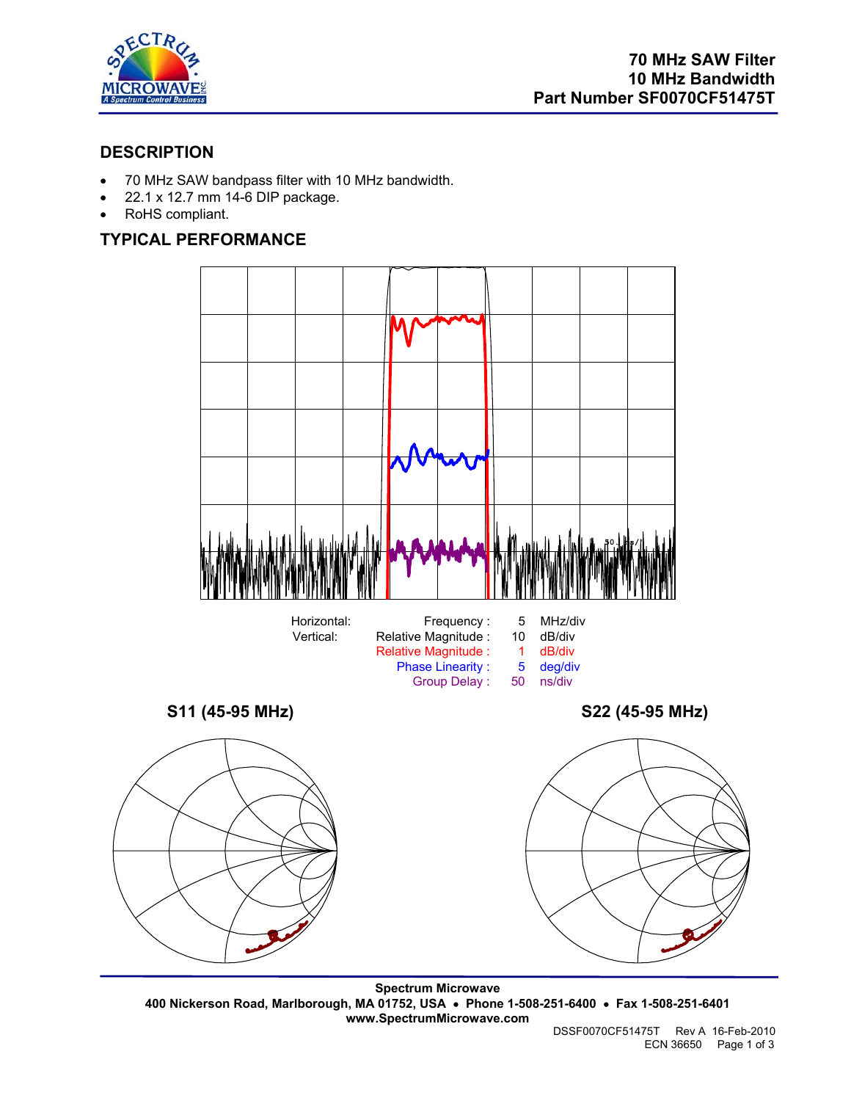

## **DESCRIPTION**

- 70 MHz SAW bandpass filter with 10 MHz bandwidth.
- 22.1 x 12.7 mm 14-6 DIP package.
- RoHS compliant.

# **TYPICAL PERFORMANCE**



**Spectrum Microwave 400 Nickerson Road, Marlborough, MA 01752, USA** • **Phone 1-508-251-6400** • **Fax 1-508-251-6401 www.SpectrumMicrowave.com**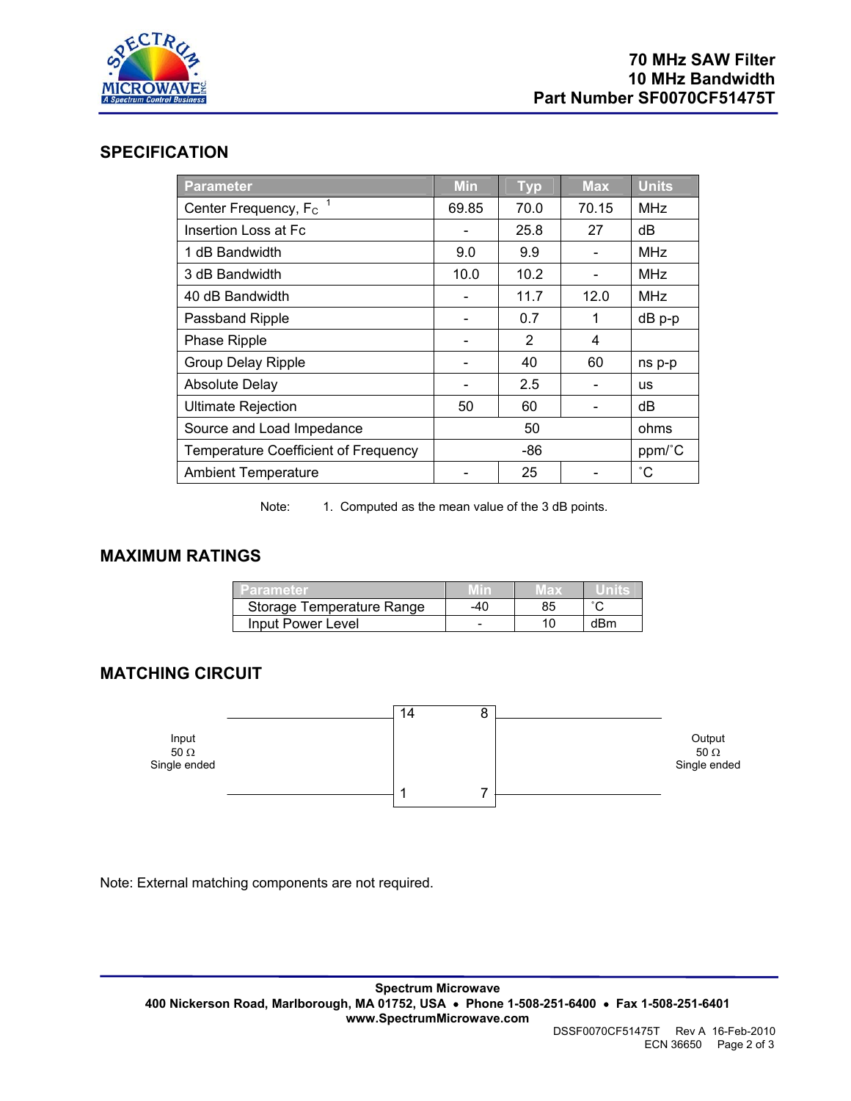

#### **SPECIFICATION**

| <b>Parameter</b>                              | <b>Min</b> | <b>Typ</b> | <b>Max</b> | <b>Units</b>    |
|-----------------------------------------------|------------|------------|------------|-----------------|
| Center Frequency, F <sub>c</sub> <sup>1</sup> | 69.85      | 70.0       | 70.15      | <b>MHz</b>      |
| Insertion Loss at Fc                          |            | 25.8       | 27         | dB              |
| 1 dB Bandwidth                                | 9.0        | 9.9        |            | <b>MHz</b>      |
| 3 dB Bandwidth                                | 10.0       | 10.2       |            | <b>MHz</b>      |
| 40 dB Bandwidth                               |            | 11.7       | 12.0       | <b>MHz</b>      |
| Passband Ripple                               |            | 0.7        | 1          | dB p-p          |
| Phase Ripple                                  |            | 2          | 4          |                 |
| Group Delay Ripple                            |            | 40         | 60         | ns p-p          |
| <b>Absolute Delay</b>                         |            | 2.5        |            | <b>us</b>       |
| <b>Ultimate Rejection</b>                     | 50         | 60         |            | dB              |
| Source and Load Impedance                     |            | 50         |            | ohms            |
| <b>Temperature Coefficient of Frequency</b>   |            | -86        |            | ppm/°C          |
| <b>Ambient Temperature</b>                    |            | 25         |            | $\rm ^{\circ}C$ |

Note: 1. Computed as the mean value of the 3 dB points.

### **MAXIMUM RATINGS**

| 'arameter                 |     | ЕE |     |
|---------------------------|-----|----|-----|
| Storage Temperature Range | -40 |    |     |
| Input Power Level         |     |    | dBm |

### **MATCHING CIRCUIT**



Note: External matching components are not required.